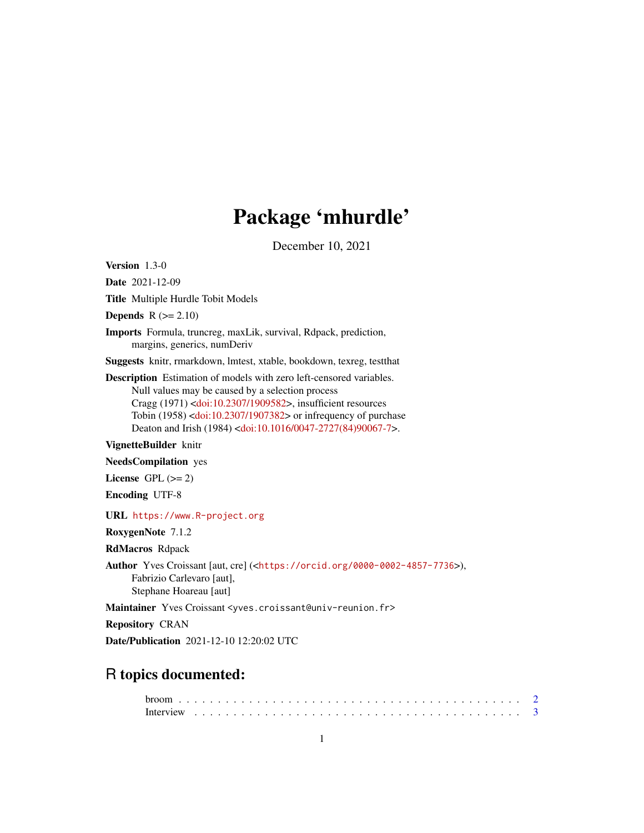# Package 'mhurdle'

December 10, 2021

<span id="page-0-0"></span>Version 1.3-0

Date 2021-12-09

Title Multiple Hurdle Tobit Models

**Depends**  $R$  ( $>= 2.10$ )

Imports Formula, truncreg, maxLik, survival, Rdpack, prediction, margins, generics, numDeriv

Suggests knitr, rmarkdown, lmtest, xtable, bookdown, texreg, testthat

Description Estimation of models with zero left-censored variables. Null values may be caused by a selection process Cragg (1971) [<doi:10.2307/1909582>](https://doi.org/10.2307/1909582), insufficient resources Tobin (1958) [<doi:10.2307/1907382>](https://doi.org/10.2307/1907382) or infrequency of purchase Deaton and Irish (1984) [<doi:10.1016/0047-2727\(84\)90067-7>](https://doi.org/10.1016/0047-2727(84)90067-7).

VignetteBuilder knitr

NeedsCompilation yes

License GPL  $(>= 2)$ 

Encoding UTF-8

URL <https://www.R-project.org>

RoxygenNote 7.1.2

RdMacros Rdpack

Author Yves Croissant [aut, cre] (<<https://orcid.org/0000-0002-4857-7736>>), Fabrizio Carlevaro [aut], Stephane Hoareau [aut]

Maintainer Yves Croissant <yves.croissant@univ-reunion.fr>

Repository CRAN

Date/Publication 2021-12-10 12:20:02 UTC

# R topics documented: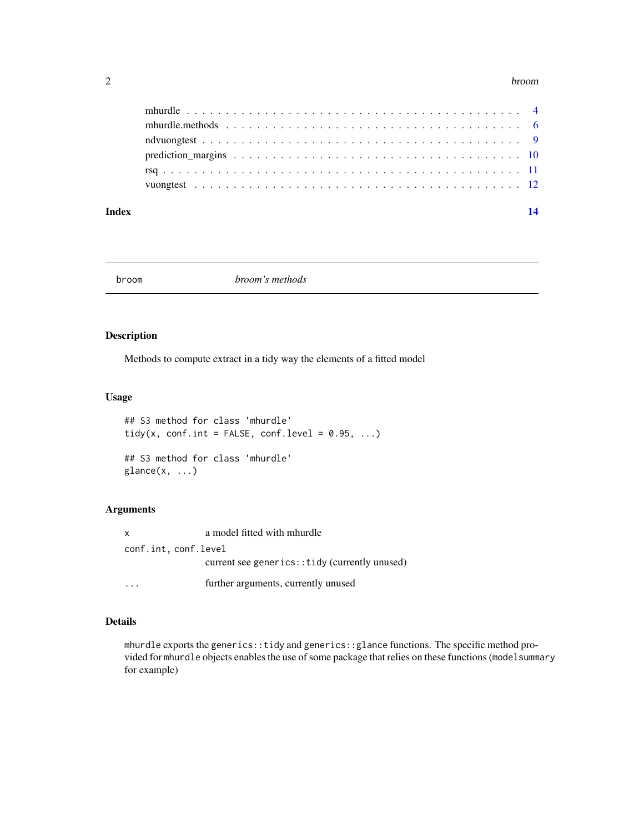#### <span id="page-1-0"></span>2 broom and the state of the state of the state of the state of the state of the state of the state of the state of the state of the state of the state of the state of the state of the state of the state of the state of th

#### **Index** 2008 **[14](#page-13-0)**

broom *broom's methods*

# Description

Methods to compute extract in a tidy way the elements of a fitted model

#### Usage

```
## S3 method for class 'mhurdle'
tidy(x, conf.int = FALSE, conf.level = 0.95, ...)
## S3 method for class 'mhurdle'
glance(x, \ldots)
```
# Arguments

| $\mathsf{X}$         | a model fitted with mhurdle                   |
|----------------------|-----------------------------------------------|
| conf.int, conf.level |                                               |
|                      | current see generics::tidy (currently unused) |
|                      | further arguments, currently unused           |

# Details

mhurdle exports the generics::tidy and generics::glance functions. The specific method provided for mhurdle objects enables the use of some package that relies on these functions (modelsummary for example)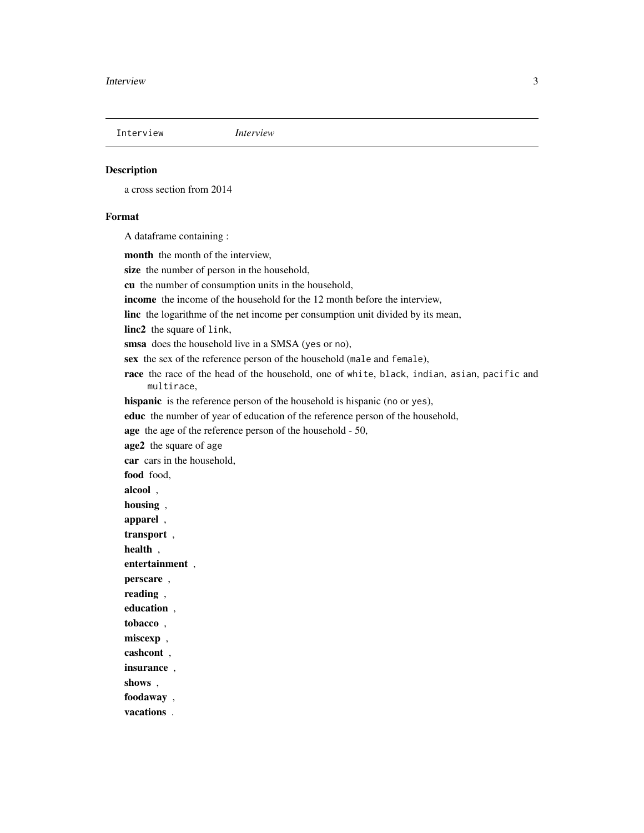<span id="page-2-0"></span>

a cross section from 2014

#### Format

A dataframe containing :

month the month of the interview, size the number of person in the household, cu the number of consumption units in the household, income the income of the household for the 12 month before the interview, linc the logarithme of the net income per consumption unit divided by its mean, linc2 the square of link, smsa does the household live in a SMSA (yes or no), sex the sex of the reference person of the household (male and female), race the race of the head of the household, one of white, black, indian, asian, pacific and multirace, hispanic is the reference person of the household is hispanic (no or yes), educ the number of year of education of the reference person of the household, age the age of the reference person of the household - 50, age2 the square of age car cars in the household, food food, alcool , housing , apparel , transport , health , entertainment , perscare , reading , education , tobacco , miscexp, cashcont , insurance , shows , foodaway , vacations .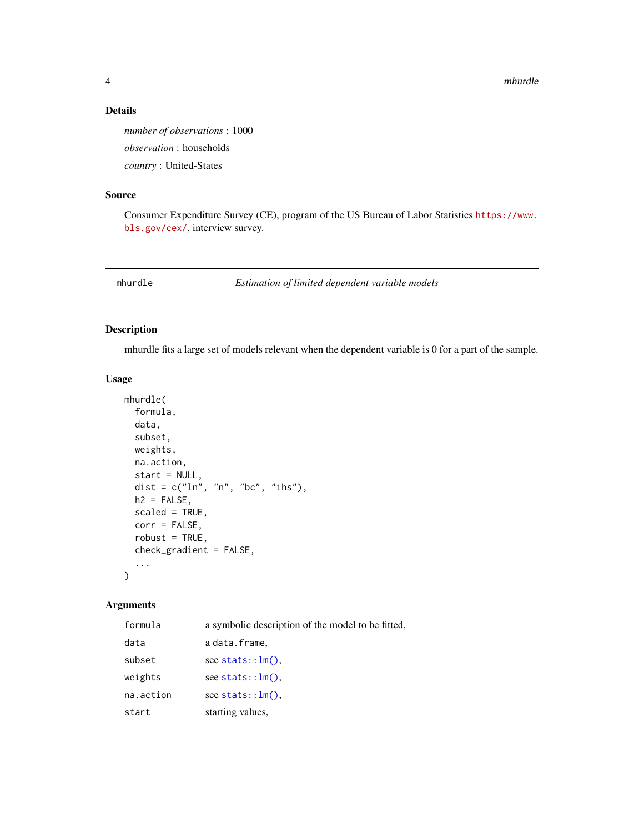4 mhurdle

### Details

*number of observations* : 1000 *observation* : households *country* : United-States

## Source

Consumer Expenditure Survey (CE), program of the US Bureau of Labor Statistics [https://www.](https://www.bls.gov/cex/) [bls.gov/cex/](https://www.bls.gov/cex/), interview survey.

mhurdle *Estimation of limited dependent variable models*

# Description

mhurdle fits a large set of models relevant when the dependent variable is 0 for a part of the sample.

# Usage

```
mhurdle(
  formula,
  data,
  subset,
 weights,
 na.action,
  start = NULL,
  dist = c("ln", "n", "bc", "ihs"),h2 = FALSE,
  scaled = TRUE,
  corr = FALSE,
  robust = TRUE,
  check_gradient = FALSE,
  ...
)
```
# Arguments

| formula   | a symbolic description of the model to be fitted, |
|-----------|---------------------------------------------------|
| data      | a data.frame,                                     |
| subset    | see stats:: $lm()$ .                              |
| weights   | see stats:: $lm()$ ,                              |
| na.action | see stats:: $lm()$ .                              |
| start     | starting values,                                  |

<span id="page-3-0"></span>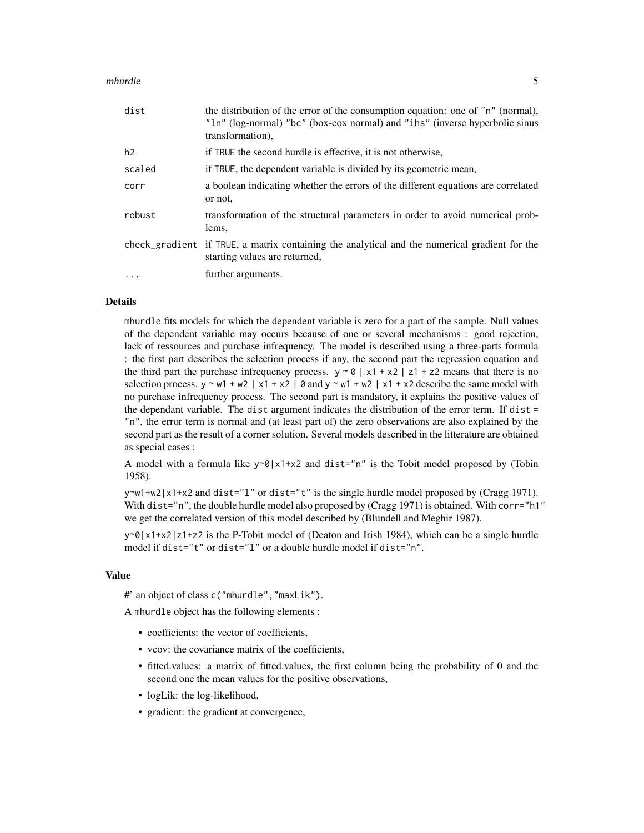#### mhurdle 5

| dist   | the distribution of the error of the consumption equation: one of "n" (normal),<br>"ln" (log-normal) "bc" (box-cox normal) and "ihs" (inverse hyperbolic sinus<br>transformation). |
|--------|------------------------------------------------------------------------------------------------------------------------------------------------------------------------------------|
| h2     | if TRUE the second hurdle is effective, it is not otherwise,                                                                                                                       |
| scaled | if TRUE, the dependent variable is divided by its geometric mean,                                                                                                                  |
| corr   | a boolean indicating whether the errors of the different equations are correlated<br>or not.                                                                                       |
| robust | transformation of the structural parameters in order to avoid numerical prob-<br>lems,                                                                                             |
|        | check_gradient if TRUE, a matrix containing the analytical and the numerical gradient for the<br>starting values are returned.                                                     |
| .      | further arguments.                                                                                                                                                                 |

#### Details

mhurdle fits models for which the dependent variable is zero for a part of the sample. Null values of the dependent variable may occurs because of one or several mechanisms : good rejection, lack of ressources and purchase infrequency. The model is described using a three-parts formula : the first part describes the selection process if any, the second part the regression equation and the third part the purchase infrequency process.  $y \sim 0$  | x1 + x2 | z1 + z2 means that there is no selection process.  $y \sim w1 + w2 \mid x1 + x2 \mid \emptyset$  and  $y \sim w1 + w2 \mid x1 + x2$  describe the same model with no purchase infrequency process. The second part is mandatory, it explains the positive values of the dependant variable. The dist argument indicates the distribution of the error term. If dist = "n", the error term is normal and (at least part of) the zero observations are also explained by the second part as the result of a corner solution. Several models described in the litterature are obtained as special cases :

A model with a formula like  $y \sim \theta |x1+x2$  and dist="n" is the Tobit model proposed by (Tobin 1958).

 $y \sim w1+w2|x1+x2$  and dist="1" or dist="t" is the single hurdle model proposed by (Cragg 1971). With dist="n", the double hurdle model also proposed by (Cragg 1971) is obtained. With corr="h1" we get the correlated version of this model described by (Blundell and Meghir 1987).

 $y \sim 0 |x1+x2|z1+z2$  is the P-Tobit model of (Deaton and Irish 1984), which can be a single hurdle model if dist="t" or dist="l" or a double hurdle model if dist="n".

# Value

#' an object of class c("mhurdle","maxLik").

A mhurdle object has the following elements :

- coefficients: the vector of coefficients,
- vcov: the covariance matrix of the coefficients,
- fitted.values: a matrix of fitted.values, the first column being the probability of 0 and the second one the mean values for the positive observations,
- logLik: the log-likelihood,
- gradient: the gradient at convergence,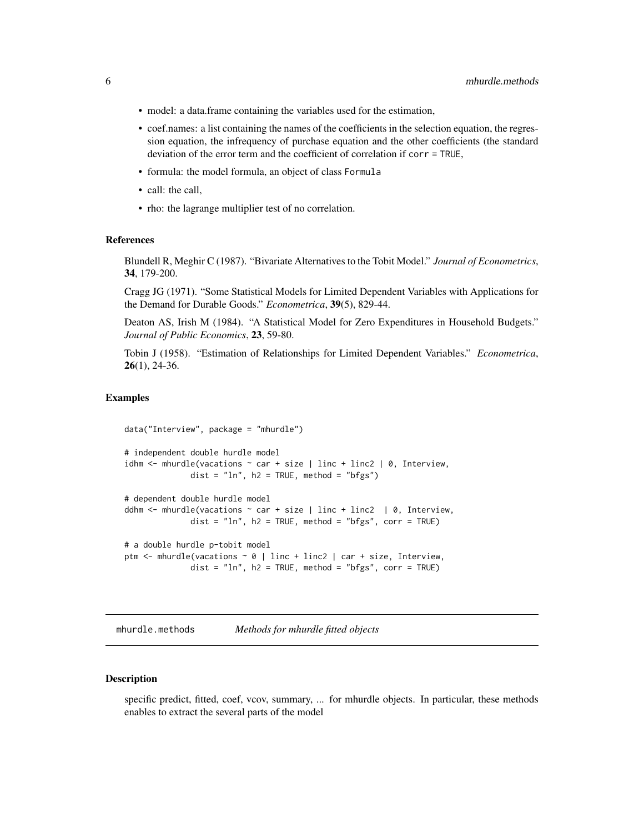- <span id="page-5-0"></span>• model: a data.frame containing the variables used for the estimation,
- coef.names: a list containing the names of the coefficients in the selection equation, the regression equation, the infrequency of purchase equation and the other coefficients (the standard deviation of the error term and the coefficient of correlation if corr = TRUE,
- formula: the model formula, an object of class Formula
- call: the call,
- rho: the lagrange multiplier test of no correlation.

#### References

Blundell R, Meghir C (1987). "Bivariate Alternatives to the Tobit Model." *Journal of Econometrics*, 34, 179-200.

Cragg JG (1971). "Some Statistical Models for Limited Dependent Variables with Applications for the Demand for Durable Goods." *Econometrica*, 39(5), 829-44.

Deaton AS, Irish M (1984). "A Statistical Model for Zero Expenditures in Household Budgets." *Journal of Public Economics*, 23, 59-80.

Tobin J (1958). "Estimation of Relationships for Limited Dependent Variables." *Econometrica*,  $26(1)$ , 24-36.

#### Examples

```
data("Interview", package = "mhurdle")
# independent double hurdle model
idhm \leq mhurdle(vacations \sim car + size | linc + linc2 | 0, Interview,
              dist = "ln", h2 = TRUE, method = "bfgs")# dependent double hurdle model
ddhm \leq mhurdle(vacations \sim car + size | linc + linc2 | 0, Interview,
              dist = "ln", h2 = TRUE, method = "bfgs", corr = TRUE)
# a double hurdle p-tobit model
ptm <- mhurdle(vacations ~ 0 | linc + linc2 | car + size, Interview,
              dist = "ln", h2 = TRUE, method = "bfgs", corr = TRUE)
```
mhurdle.methods *Methods for mhurdle fitted objects*

#### Description

specific predict, fitted, coef, vcov, summary, ... for mhurdle objects. In particular, these methods enables to extract the several parts of the model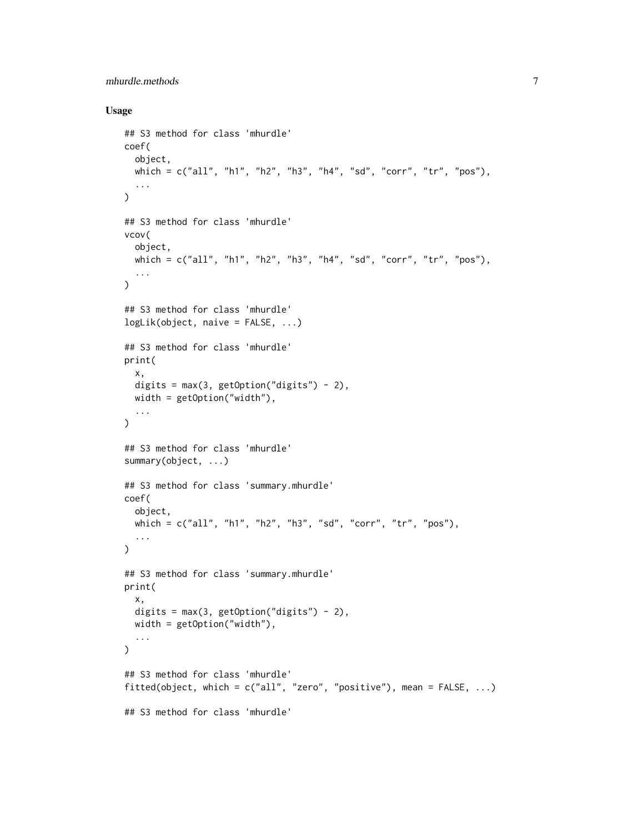# mhurdle.methods 7

# Usage

```
## S3 method for class 'mhurdle'
coef(
 object,
 which = c("all", "h1", "h2", "h3", "h4", "sd", "corr", "tr", "pos"),
  ...
\mathcal{L}## S3 method for class 'mhurdle'
vcov(
 object,
 which = c("all", "h1", "h2", "h3", "h4", "sd", "corr", "tr", "pos"),
  ...
\mathcal{L}## S3 method for class 'mhurdle'
logLik(object, naive = FALSE, ...)
## S3 method for class 'mhurdle'
print(
 x,
 digits = max(3, getOption("digits") - 2),width = getOption("width"),
  ...
\mathcal{L}## S3 method for class 'mhurdle'
summary(object, ...)
## S3 method for class 'summary.mhurdle'
coef(
 object,
 which = c("all", "h1", "h2", "h3", "sd", "corr", "tr", "pos"),
  ...
\mathcal{L}## S3 method for class 'summary.mhurdle'
print(
 x,
 digits = max(3, getOption("digits") - 2),width = getOption("width"),
  ...
\mathcal{L}## S3 method for class 'mhurdle'
fitted(object, which = c("all", "zero", "positive"), mean = FALSE, ...)
## S3 method for class 'mhurdle'
```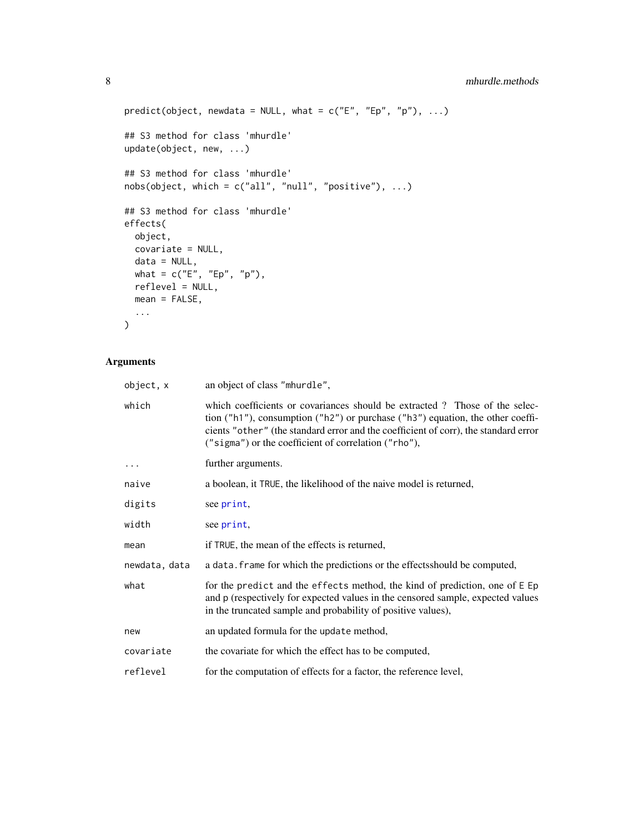```
predict(object, newdata = NULL, what = c("E", "Ep", "p"), ...)## S3 method for class 'mhurdle'
update(object, new, ...)
## S3 method for class 'mhurdle'
nobs(object, which = c("all", "null", "positive"), ...)
## S3 method for class 'mhurdle'
effects(
  object,
  covariate = NULL,
  data = NULL,
 what = c("E", "Ep", "p"),
  reflevel = NULL,
  mean = FALSE,...
\mathcal{L}
```
# Arguments

| object, x     | an object of class "mhurdle",                                                                                                                                                                                                                                                                               |
|---------------|-------------------------------------------------------------------------------------------------------------------------------------------------------------------------------------------------------------------------------------------------------------------------------------------------------------|
| which         | which coefficients or covariances should be extracted? Those of the selec-<br>tion ("h1"), consumption ("h2") or purchase ("h3") equation, the other coeffi-<br>cients "other" (the standard error and the coefficient of corr), the standard error<br>("sigma") or the coefficient of correlation ("rho"), |
| $\ddots$      | further arguments.                                                                                                                                                                                                                                                                                          |
| naive         | a boolean, it TRUE, the likelihood of the naive model is returned,                                                                                                                                                                                                                                          |
| digits        | see print,                                                                                                                                                                                                                                                                                                  |
| width         | see print,                                                                                                                                                                                                                                                                                                  |
| mean          | if TRUE, the mean of the effects is returned,                                                                                                                                                                                                                                                               |
| newdata, data | a data. frame for which the predictions or the effects should be computed,                                                                                                                                                                                                                                  |
| what          | for the predict and the effects method, the kind of prediction, one of E Ep<br>and p (respectively for expected values in the censored sample, expected values<br>in the truncated sample and probability of positive values),                                                                              |
| new           | an updated formula for the update method,                                                                                                                                                                                                                                                                   |
| covariate     | the covariate for which the effect has to be computed,                                                                                                                                                                                                                                                      |
| reflevel      | for the computation of effects for a factor, the reference level,                                                                                                                                                                                                                                           |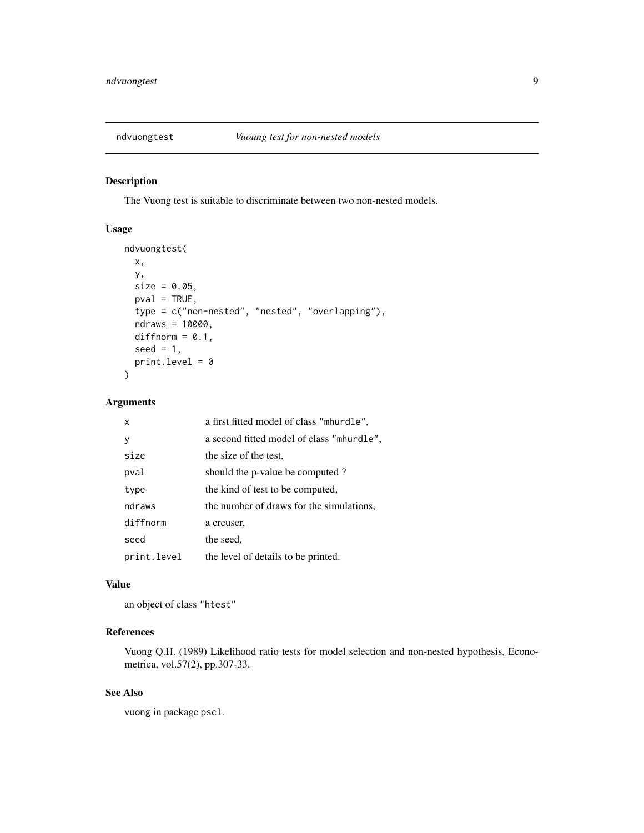<span id="page-8-0"></span>

The Vuong test is suitable to discriminate between two non-nested models.

# Usage

```
ndvuongtest(
 x,
 y,
 size = 0.05,
 pval = TRUE,type = c("non-nested", "nested", "overlapping"),
 ndraws = 10000,
 diffnorm = 0.1,seed = 1,
 print.level = 0
)
```
#### Arguments

| X           | a first fitted model of class "mhurdle",  |
|-------------|-------------------------------------------|
| y           | a second fitted model of class "mhurdle", |
| size        | the size of the test,                     |
| pval        | should the p-value be computed?           |
| type        | the kind of test to be computed,          |
| ndraws      | the number of draws for the simulations,  |
| diffnorm    | a creuser,                                |
| seed        | the seed,                                 |
| print.level | the level of details to be printed.       |

# Value

an object of class "htest"

# References

Vuong Q.H. (1989) Likelihood ratio tests for model selection and non-nested hypothesis, Econometrica, vol.57(2), pp.307-33.

# See Also

vuong in package pscl.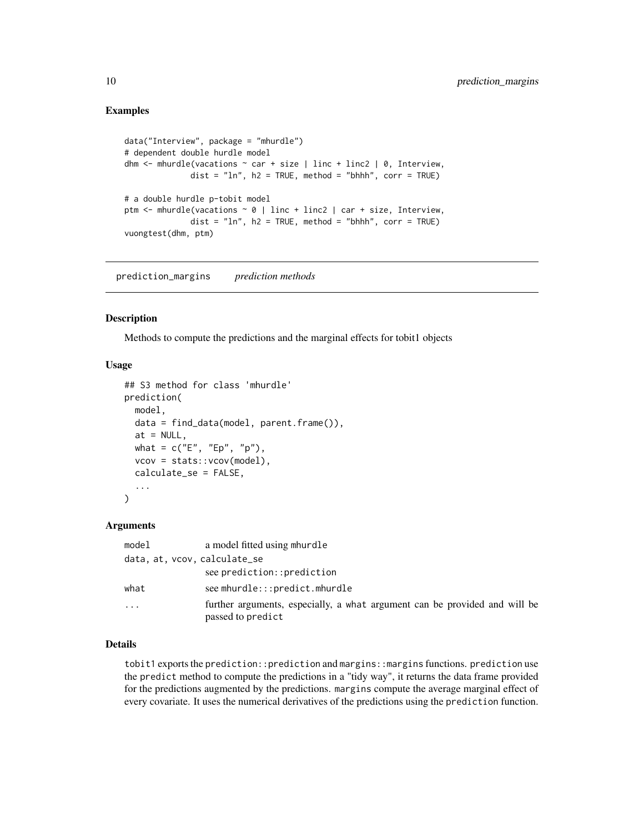#### <span id="page-9-0"></span>Examples

```
data("Interview", package = "mhurdle")
# dependent double hurdle model
dhm \leq mhurdle(vacations \sim car + size | linc + linc2 | 0, Interview,
              dist = "ln", h2 = TRUE, method = "bhhh", corr = TRUE)
# a double hurdle p-tobit model
ptm \leq mhurdle(vacations \sim 0 | linc + linc2 | car + size, Interview,
              dist = "ln", h2 = TRUE, method = "bhhh", corr = TRUE)vuongtest(dhm, ptm)
```
prediction\_margins *prediction methods*

# Description

Methods to compute the predictions and the marginal effects for tobit1 objects

# Usage

```
## S3 method for class 'mhurdle'
prediction(
 model,
  data = find_data(model, parent.frame()),
  at = NULL,what = c("E", "Ep", "p"),
  vcov = stats::vcov(model),
  calculate_se = FALSE,
  ...
)
```
#### Arguments

| model    | a model fitted using mhurdle                                                                    |
|----------|-------------------------------------------------------------------------------------------------|
|          | data, at, vcov, calculate_se                                                                    |
|          | see prediction::prediction                                                                      |
| what     | see mhurdle:::predict.mhurdle                                                                   |
| $\cdots$ | further arguments, especially, a what argument can be provided and will be<br>passed to predict |

#### Details

tobit1 exports the prediction::prediction and margins::margins functions. prediction use the predict method to compute the predictions in a "tidy way", it returns the data frame provided for the predictions augmented by the predictions. margins compute the average marginal effect of every covariate. It uses the numerical derivatives of the predictions using the prediction function.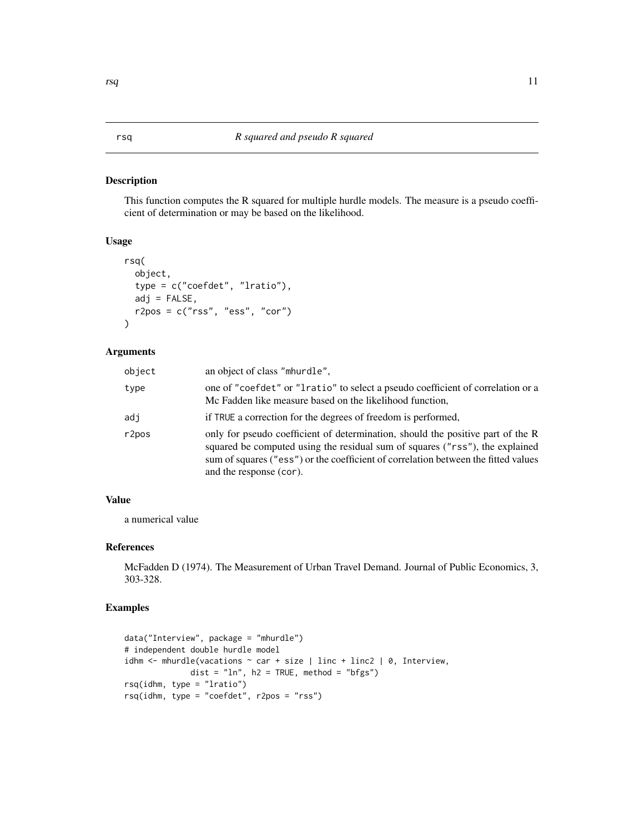<span id="page-10-0"></span>This function computes the R squared for multiple hurdle models. The measure is a pseudo coefficient of determination or may be based on the likelihood.

#### Usage

```
rsq(
  object,
  type = c("coefdet", "lratio"),
  adj = FALSE,r2pos = c("rss", "ess", "cor")
)
```
#### Arguments

| object | an object of class "mhurdle".                                                                                                                                                                                                                                                    |
|--------|----------------------------------------------------------------------------------------------------------------------------------------------------------------------------------------------------------------------------------------------------------------------------------|
| type   | one of "coefdet" or "Iratio" to select a pseudo coefficient of correlation or a<br>Mc Fadden like measure based on the likelihood function,                                                                                                                                      |
| adj    | if TRUE a correction for the degrees of freedom is performed,                                                                                                                                                                                                                    |
| r2pos  | only for pseudo coefficient of determination, should the positive part of the R<br>squared be computed using the residual sum of squares ("rss"), the explained<br>sum of squares ("ess") or the coefficient of correlation between the fitted values<br>and the response (cor). |

# Value

a numerical value

#### References

McFadden D (1974). The Measurement of Urban Travel Demand. Journal of Public Economics, 3, 303-328.

# Examples

```
data("Interview", package = "mhurdle")
# independent double hurdle model
idhm \leq mhurdle(vacations \sim car + size | linc + linc2 | 0, Interview,
              dist = "ln", h2 = TRUE, method = "bfgs")rsq(idhm, type = "lratio")
rsq(idhm, type = "coefdet", r2pos = "rss")
```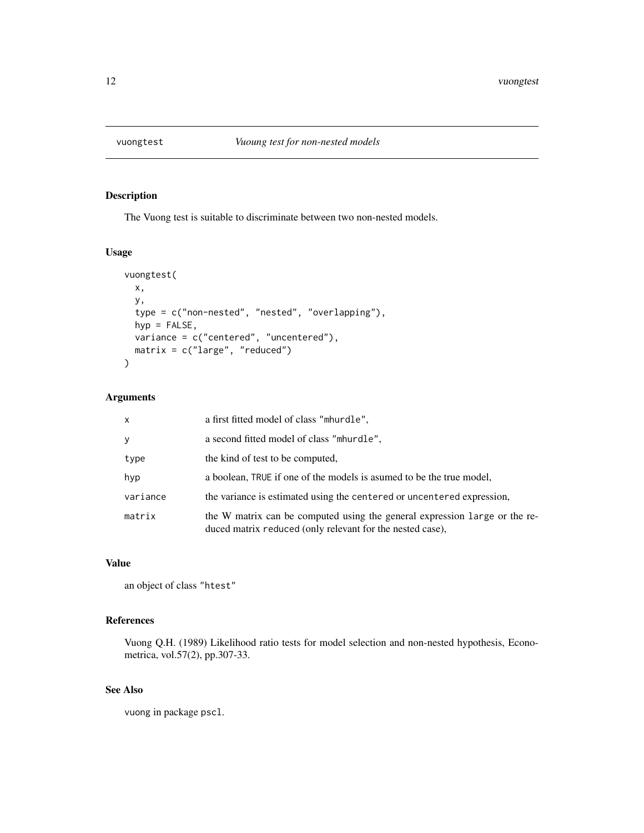<span id="page-11-0"></span>

The Vuong test is suitable to discriminate between two non-nested models.

# Usage

```
vuongtest(
 x,
 y,
 type = c("non-nested", "nested", "overlapping"),
 hyp = FALSE,
 variance = c("centered", "uncentered"),
 matrix = c("large", "reduced")
)
```
# Arguments

| $\mathsf{x}$ | a first fitted model of class "mhurdle",                                                                                                |
|--------------|-----------------------------------------------------------------------------------------------------------------------------------------|
| y            | a second fitted model of class "mhurdle".                                                                                               |
| type         | the kind of test to be computed,                                                                                                        |
| hyp          | a boolean, TRUE if one of the models is asumed to be the true model,                                                                    |
| variance     | the variance is estimated using the centered or uncentered expression,                                                                  |
| matrix       | the W matrix can be computed using the general expression large or the re-<br>duced matrix reduced (only relevant for the nested case), |

## Value

an object of class "htest"

# References

Vuong Q.H. (1989) Likelihood ratio tests for model selection and non-nested hypothesis, Econometrica, vol.57(2), pp.307-33.

# See Also

vuong in package pscl.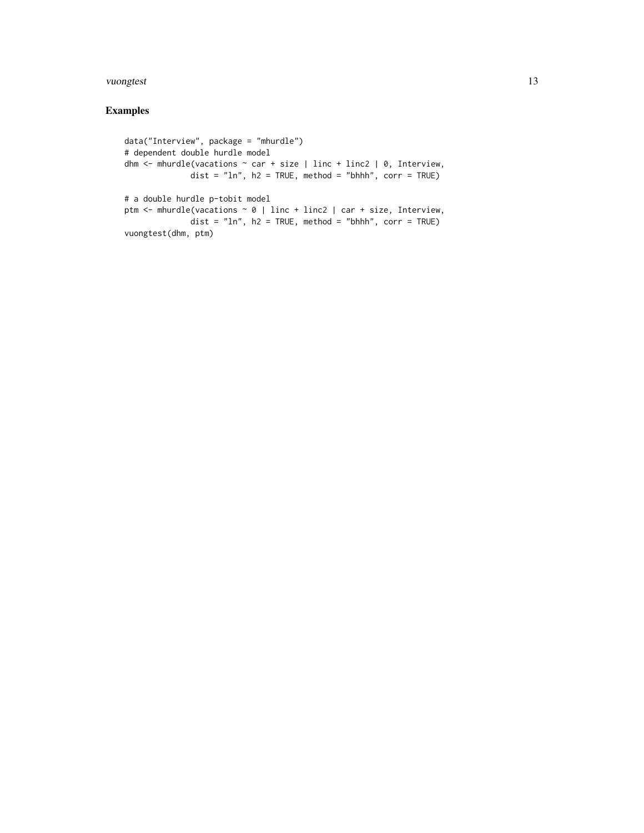#### vuongtest 13

# Examples

```
data("Interview", package = "mhurdle")
# dependent double hurdle model
dhm \le mhurdle(vacations \sim car + size | linc + linc2 | 0, Interview,
              dist = "ln", h2 = TRUE, method = "bhhh", corr = TRUE)
# a double hurdle p-tobit model
ptm <- mhurdle(vacations ~ 0 | linc + linc2 | car + size, Interview,
              dist = "ln", h2 = TRUE, method = "bhhh", corr = TRUE)vuongtest(dhm, ptm)
```